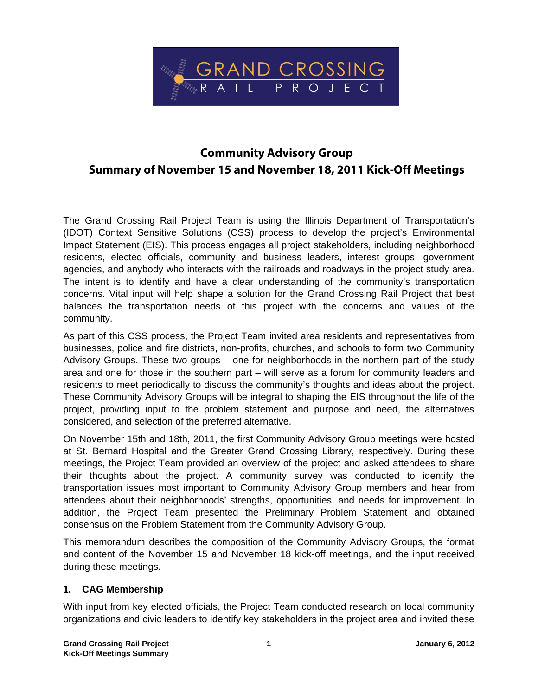

# **Community Advisory Group Summary of November 15 and November 18, 2011 Kick-Off Meetings**

The Grand Crossing Rail Project Team is using the Illinois Department of Transportation's (IDOT) Context Sensitive Solutions (CSS) process to develop the project's Environmental Impact Statement (EIS). This process engages all project stakeholders, including neighborhood residents, elected officials, community and business leaders, interest groups, government agencies, and anybody who interacts with the railroads and roadways in the project study area. The intent is to identify and have a clear understanding of the community's transportation concerns. Vital input will help shape a solution for the Grand Crossing Rail Project that best balances the transportation needs of this project with the concerns and values of the community.

As part of this CSS process, the Project Team invited area residents and representatives from businesses, police and fire districts, non-profits, churches, and schools to form two Community Advisory Groups. These two groups – one for neighborhoods in the northern part of the study area and one for those in the southern part – will serve as a forum for community leaders and residents to meet periodically to discuss the community's thoughts and ideas about the project. These Community Advisory Groups will be integral to shaping the EIS throughout the life of the project, providing input to the problem statement and purpose and need, the alternatives considered, and selection of the preferred alternative.

On November 15th and 18th, 2011, the first Community Advisory Group meetings were hosted at St. Bernard Hospital and the Greater Grand Crossing Library, respectively. During these meetings, the Project Team provided an overview of the project and asked attendees to share their thoughts about the project. A community survey was conducted to identify the transportation issues most important to Community Advisory Group members and hear from attendees about their neighborhoods' strengths, opportunities, and needs for improvement. In addition, the Project Team presented the Preliminary Problem Statement and obtained consensus on the Problem Statement from the Community Advisory Group.

This memorandum describes the composition of the Community Advisory Groups, the format and content of the November 15 and November 18 kick-off meetings, and the input received during these meetings.

#### **1. CAG Membership**

With input from key elected officials, the Project Team conducted research on local community organizations and civic leaders to identify key stakeholders in the project area and invited these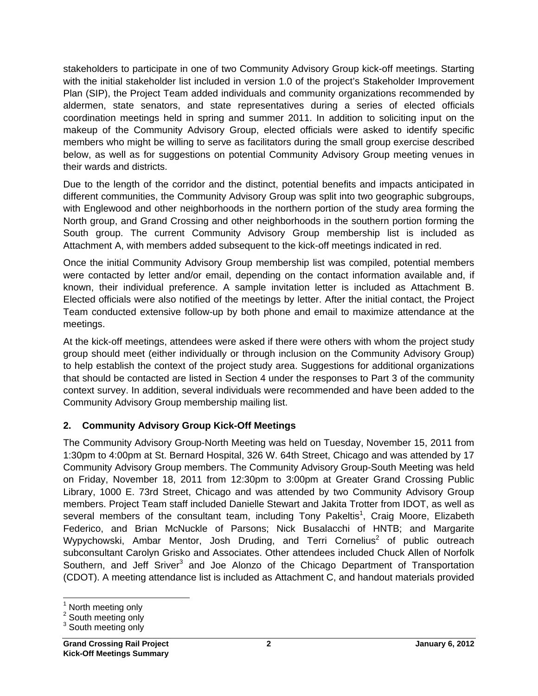stakeholders to participate in one of two Community Advisory Group kick-off meetings. Starting with the initial stakeholder list included in version 1.0 of the project's Stakeholder Improvement Plan (SIP), the Project Team added individuals and community organizations recommended by aldermen, state senators, and state representatives during a series of elected officials coordination meetings held in spring and summer 2011. In addition to soliciting input on the makeup of the Community Advisory Group, elected officials were asked to identify specific members who might be willing to serve as facilitators during the small group exercise described below, as well as for suggestions on potential Community Advisory Group meeting venues in their wards and districts.

Due to the length of the corridor and the distinct, potential benefits and impacts anticipated in different communities, the Community Advisory Group was split into two geographic subgroups, with Englewood and other neighborhoods in the northern portion of the study area forming the North group, and Grand Crossing and other neighborhoods in the southern portion forming the South group. The current Community Advisory Group membership list is included as Attachment A, with members added subsequent to the kick-off meetings indicated in red.

Once the initial Community Advisory Group membership list was compiled, potential members were contacted by letter and/or email, depending on the contact information available and, if known, their individual preference. A sample invitation letter is included as Attachment B. Elected officials were also notified of the meetings by letter. After the initial contact, the Project Team conducted extensive follow-up by both phone and email to maximize attendance at the meetings.

At the kick-off meetings, attendees were asked if there were others with whom the project study group should meet (either individually or through inclusion on the Community Advisory Group) to help establish the context of the project study area. Suggestions for additional organizations that should be contacted are listed in Section 4 under the responses to Part 3 of the community context survey. In addition, several individuals were recommended and have been added to the Community Advisory Group membership mailing list.

### **2. Community Advisory Group Kick-Off Meetings**

The Community Advisory Group-North Meeting was held on Tuesday, November 15, 2011 from 1:30pm to 4:00pm at St. Bernard Hospital, 326 W. 64th Street, Chicago and was attended by 17 Community Advisory Group members. The Community Advisory Group-South Meeting was held on Friday, November 18, 2011 from 12:30pm to 3:00pm at Greater Grand Crossing Public Library, 1000 E. 73rd Street, Chicago and was attended by two Community Advisory Group members. Project Team staff included Danielle Stewart and Jakita Trotter from IDOT, as well as several members of the consultant team, including Tony Pakeltis<sup>1</sup>, Craig Moore, Elizabeth Federico, and Brian McNuckle of Parsons; Nick Busalacchi of HNTB; and Margarite Wypychowski, Ambar Mentor, Josh Druding, and Terri Cornelius<sup>2</sup> of public outreach subconsultant Carolyn Grisko and Associates. Other attendees included Chuck Allen of Norfolk Southern, and Jeff Sriver<sup>3</sup> and Joe Alonzo of the Chicago Department of Transportation (CDOT). A meeting attendance list is included as Attachment C, and handout materials provided

 <sup>1</sup> North meeting only

<sup>&</sup>lt;sup>2</sup> South meeting only

<sup>&</sup>lt;sup>3</sup> South meeting only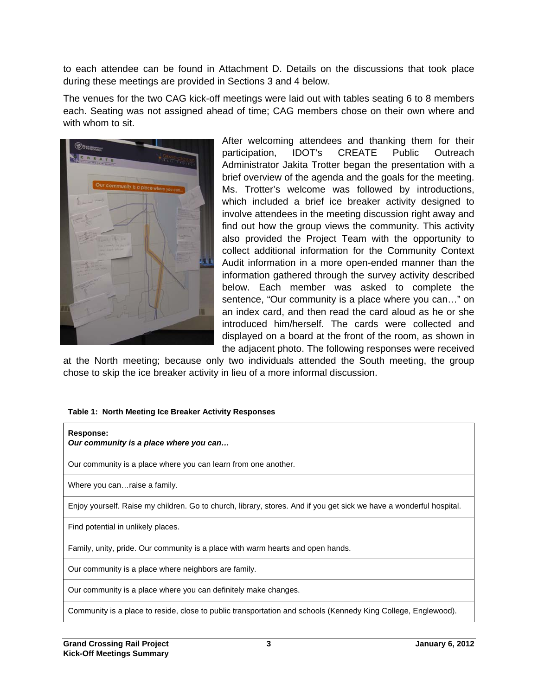to each attendee can be found in Attachment D. Details on the discussions that took place during these meetings are provided in Sections 3 and 4 below.

The venues for the two CAG kick-off meetings were laid out with tables seating 6 to 8 members each. Seating was not assigned ahead of time; CAG members chose on their own where and with whom to sit.



After welcoming attendees and thanking them for their participation, IDOT's CREATE Public Outreach Administrator Jakita Trotter began the presentation with a brief overview of the agenda and the goals for the meeting. Ms. Trotter's welcome was followed by introductions, which included a brief ice breaker activity designed to involve attendees in the meeting discussion right away and find out how the group views the community. This activity also provided the Project Team with the opportunity to collect additional information for the Community Context Audit information in a more open-ended manner than the information gathered through the survey activity described below. Each member was asked to complete the sentence, "Our community is a place where you can…" on an index card, and then read the card aloud as he or she introduced him/herself. The cards were collected and displayed on a board at the front of the room, as shown in the adjacent photo. The following responses were received

at the North meeting; because only two individuals attended the South meeting, the group chose to skip the ice breaker activity in lieu of a more informal discussion.

#### **Table 1: North Meeting Ice Breaker Activity Responses**

| Response:<br>Our community is a place where you can                                                                 |
|---------------------------------------------------------------------------------------------------------------------|
| Our community is a place where you can learn from one another.                                                      |
| Where you can raise a family.                                                                                       |
| Enjoy yourself. Raise my children. Go to church, library, stores. And if you get sick we have a wonderful hospital. |
| Find potential in unlikely places.                                                                                  |
| Family, unity, pride. Our community is a place with warm hearts and open hands.                                     |
| Our community is a place where neighbors are family.                                                                |
| Our community is a place where you can definitely make changes.                                                     |
| Community is a place to reside, close to public transportation and schools (Kennedy King College, Englewood).       |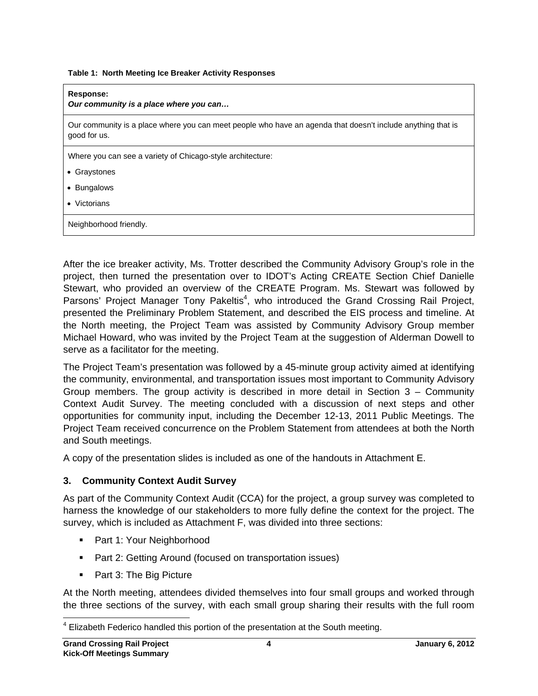**Table 1: North Meeting Ice Breaker Activity Responses** 

| Response:<br>Our community is a place where you can                                                                         |
|-----------------------------------------------------------------------------------------------------------------------------|
| Our community is a place where you can meet people who have an agenda that doesn't include anything that is<br>good for us. |
| Where you can see a variety of Chicago-style architecture:                                                                  |
| • Graystones                                                                                                                |
| • Bungalows                                                                                                                 |
| $\bullet$ Victorians                                                                                                        |
| Neighborhood friendly.                                                                                                      |

After the ice breaker activity, Ms. Trotter described the Community Advisory Group's role in the project, then turned the presentation over to IDOT's Acting CREATE Section Chief Danielle Stewart, who provided an overview of the CREATE Program. Ms. Stewart was followed by Parsons' Project Manager Tony Pakeltis<sup>4</sup>, who introduced the Grand Crossing Rail Project, presented the Preliminary Problem Statement, and described the EIS process and timeline. At the North meeting, the Project Team was assisted by Community Advisory Group member Michael Howard, who was invited by the Project Team at the suggestion of Alderman Dowell to serve as a facilitator for the meeting.

The Project Team's presentation was followed by a 45-minute group activity aimed at identifying the community, environmental, and transportation issues most important to Community Advisory Group members. The group activity is described in more detail in Section 3 – Community Context Audit Survey. The meeting concluded with a discussion of next steps and other opportunities for community input, including the December 12-13, 2011 Public Meetings. The Project Team received concurrence on the Problem Statement from attendees at both the North and South meetings.

A copy of the presentation slides is included as one of the handouts in Attachment E.

#### **3. Community Context Audit Survey**

As part of the Community Context Audit (CCA) for the project, a group survey was completed to harness the knowledge of our stakeholders to more fully define the context for the project. The survey, which is included as Attachment F, was divided into three sections:

- Part 1: Your Neighborhood
- **Part 2: Getting Around (focused on transportation issues)**
- Part 3: The Big Picture

At the North meeting, attendees divided themselves into four small groups and worked through the three sections of the survey, with each small group sharing their results with the full room

<sup>-</sup> $4$  Elizabeth Federico handled this portion of the presentation at the South meeting.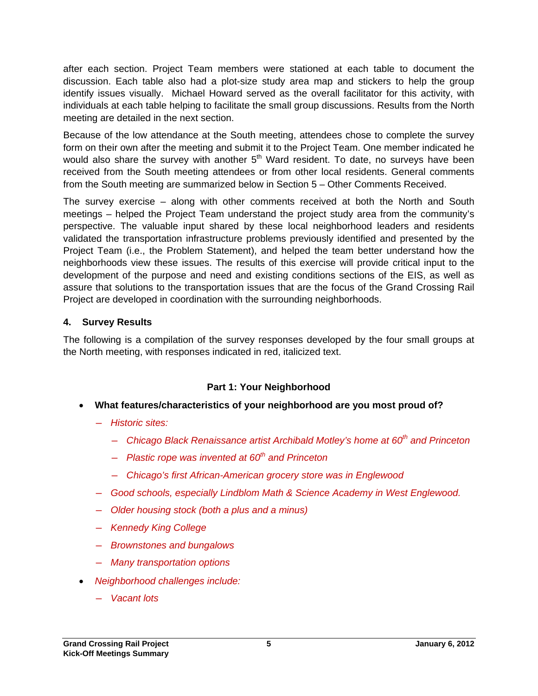after each section. Project Team members were stationed at each table to document the discussion. Each table also had a plot-size study area map and stickers to help the group identify issues visually. Michael Howard served as the overall facilitator for this activity, with individuals at each table helping to facilitate the small group discussions. Results from the North meeting are detailed in the next section.

Because of the low attendance at the South meeting, attendees chose to complete the survey form on their own after the meeting and submit it to the Project Team. One member indicated he would also share the survey with another  $5<sup>th</sup>$  Ward resident. To date, no surveys have been received from the South meeting attendees or from other local residents. General comments from the South meeting are summarized below in Section 5 – Other Comments Received.

The survey exercise – along with other comments received at both the North and South meetings – helped the Project Team understand the project study area from the community's perspective. The valuable input shared by these local neighborhood leaders and residents validated the transportation infrastructure problems previously identified and presented by the Project Team (i.e., the Problem Statement), and helped the team better understand how the neighborhoods view these issues. The results of this exercise will provide critical input to the development of the purpose and need and existing conditions sections of the EIS, as well as assure that solutions to the transportation issues that are the focus of the Grand Crossing Rail Project are developed in coordination with the surrounding neighborhoods.

#### **4. Survey Results**

The following is a compilation of the survey responses developed by the four small groups at the North meeting, with responses indicated in red, italicized text.

## **Part 1: Your Neighborhood**

- **What features/characteristics of your neighborhood are you most proud of?** 
	- ― *Historic sites:* 
		- ― *Chicago Black Renaissance artist Archibald Motley's home at 60th and Princeton*
		- ― *Plastic rope was invented at 60th and Princeton*
		- ― *Chicago's first African-American grocery store was in Englewood*
	- ― *Good schools, especially Lindblom Math & Science Academy in West Englewood.*
	- ― *Older housing stock (both a plus and a minus)*
	- ― *Kennedy King College*
	- ― *Brownstones and bungalows*
	- ― *Many transportation options*
- *Neighborhood challenges include:* 
	- ― *Vacant lots*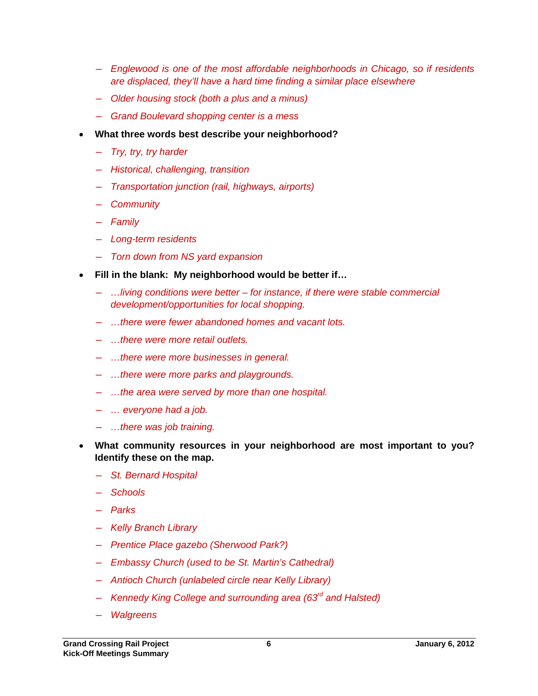- ― *Englewood is one of the most affordable neighborhoods in Chicago, so if residents are displaced, they'll have a hard time finding a similar place elsewhere*
- ― *Older housing stock (both a plus and a minus)*
- ― *Grand Boulevard shopping center is a mess*
- **What three words best describe your neighborhood?** 
	- ― *Try, try, try harder*
	- ― *Historical, challenging, transition*
	- ― *Transportation junction (rail, highways, airports)*
	- ― *Community*
	- ― *Family*
	- ― *Long-term residents*
	- ― *Torn down from NS yard expansion*
- **Fill in the blank: My neighborhood would be better if…** 
	- ― *…living conditions were better for instance, if there were stable commercial development/opportunities for local shopping.*
	- ― *…there were fewer abandoned homes and vacant lots.*
	- ― *…there were more retail outlets.*
	- ― *…there were more businesses in general.*
	- ― *…there were more parks and playgrounds.*
	- ― *…the area were served by more than one hospital.*
	- ― *… everyone had a job.*
	- ― *…there was job training.*
- **What community resources in your neighborhood are most important to you? Identify these on the map.**
	- ― *St. Bernard Hospital*
	- ― *Schools*
	- ― *Parks*
	- ― *Kelly Branch Library*
	- ― *Prentice Place gazebo (Sherwood Park?)*
	- ― *Embassy Church (used to be St. Martin's Cathedral)*
	- ― *Antioch Church (unlabeled circle near Kelly Library)*
	- ― *Kennedy King College and surrounding area (63rd and Halsted)*
	- ― *Walgreens*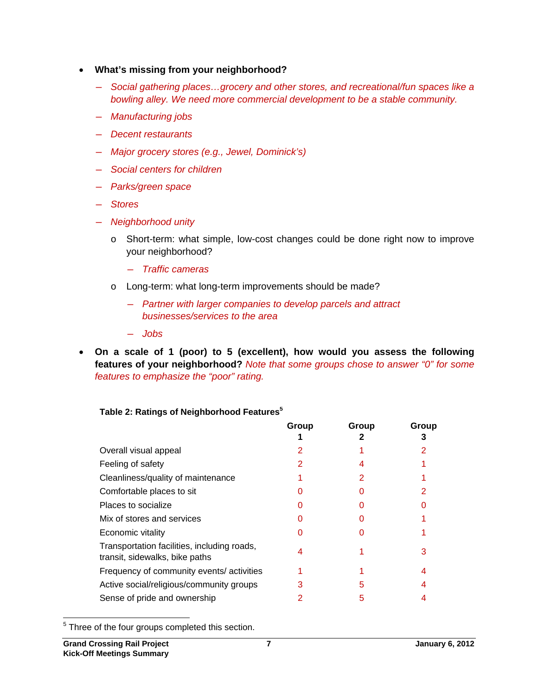- **What's missing from your neighborhood?** 
	- ― *Social gathering places…grocery and other stores, and recreational/fun spaces like a bowling alley. We need more commercial development to be a stable community.*
	- ― *Manufacturing jobs*
	- ― *Decent restaurants*
	- ― *Major grocery stores (e.g., Jewel, Dominick's)*
	- ― *Social centers for children*
	- ― *Parks/green space*
	- ― *Stores*
	- ― *Neighborhood unity* 
		- o Short-term: what simple, low-cost changes could be done right now to improve your neighborhood?
			- ― *Traffic cameras*
		- o Long-term: what long-term improvements should be made?
			- ― *Partner with larger companies to develop parcels and attract businesses/services to the area*
			- ― *Jobs*
- **On a scale of 1 (poor) to 5 (excellent), how would you assess the following features of your neighborhood?** *Note that some groups chose to answer "0" for some features to emphasize the "poor" rating.*

|  |  |  |  | Table 2: Ratings of Neighborhood Features $^{\mathbf{5}}$ |  |
|--|--|--|--|-----------------------------------------------------------|--|
|--|--|--|--|-----------------------------------------------------------|--|

|                                                                               | Group | Group | Group |
|-------------------------------------------------------------------------------|-------|-------|-------|
|                                                                               |       |       |       |
| Overall visual appeal                                                         |       |       |       |
| Feeling of safety                                                             |       |       |       |
| Cleanliness/quality of maintenance                                            |       |       |       |
| Comfortable places to sit                                                     |       |       |       |
| Places to socialize                                                           |       |       |       |
| Mix of stores and services                                                    |       |       |       |
| Economic vitality                                                             |       |       |       |
| Transportation facilities, including roads,<br>transit, sidewalks, bike paths | 4     |       |       |
| Frequency of community events/activities                                      |       |       |       |
| Active social/religious/community groups                                      |       | h     |       |
| Sense of pride and ownership                                                  |       |       |       |

<sup>&</sup>lt;u>Fast</u><br><sup>5</sup> Three of the four groups completed this section.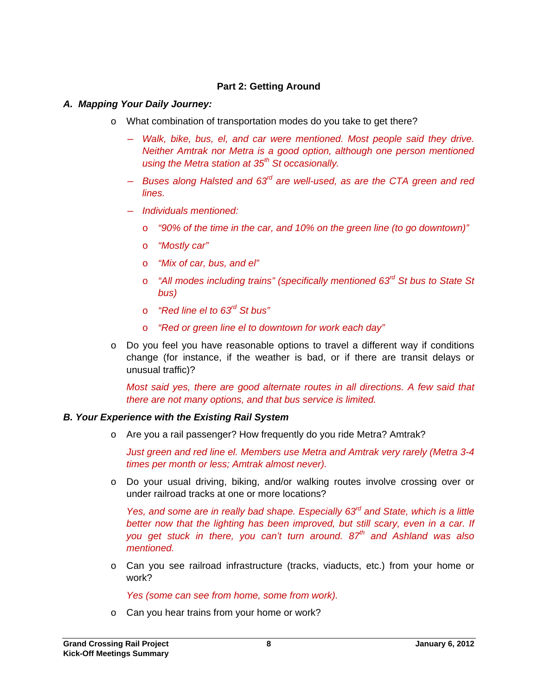#### **Part 2: Getting Around**

#### *A. Mapping Your Daily Journey:*

- o What combination of transportation modes do you take to get there?
	- ― *Walk, bike, bus, el, and car were mentioned. Most people said they drive. Neither Amtrak nor Metra is a good option, although one person mentioned using the Metra station at 35th St occasionally.*
	- ― *Buses along Halsted and 63rd are well-used, as are the CTA green and red lines.*
	- ― *Individuals mentioned:* 
		- o *"90% of the time in the car, and 10% on the green line (to go downtown)"*
		- o *"Mostly car"*
		- o *"Mix of car, bus, and el"*
		- o *"All modes including trains" (specifically mentioned 63rd St bus to State St bus)*
		- o *"Red line el to 63rd St bus"*
		- o *"Red or green line el to downtown for work each day"*
- $\circ$  Do you feel you have reasonable options to travel a different way if conditions change (for instance, if the weather is bad, or if there are transit delays or unusual traffic)?

*Most said yes, there are good alternate routes in all directions. A few said that there are not many options, and that bus service is limited.* 

#### *B. Your Experience with the Existing Rail System*

o Are you a rail passenger? How frequently do you ride Metra? Amtrak?

*Just green and red line el. Members use Metra and Amtrak very rarely (Metra 3-4 times per month or less; Amtrak almost never).* 

o Do your usual driving, biking, and/or walking routes involve crossing over or under railroad tracks at one or more locations?

*Yes, and some are in really bad shape. Especially 63<sup>rd</sup> and State, which is a little* better now that the lighting has been improved, but still scary, even in a car. If *you get stuck in there, you can't turn around. 87th and Ashland was also mentioned.* 

o Can you see railroad infrastructure (tracks, viaducts, etc.) from your home or work?

*Yes (some can see from home, some from work).* 

o Can you hear trains from your home or work?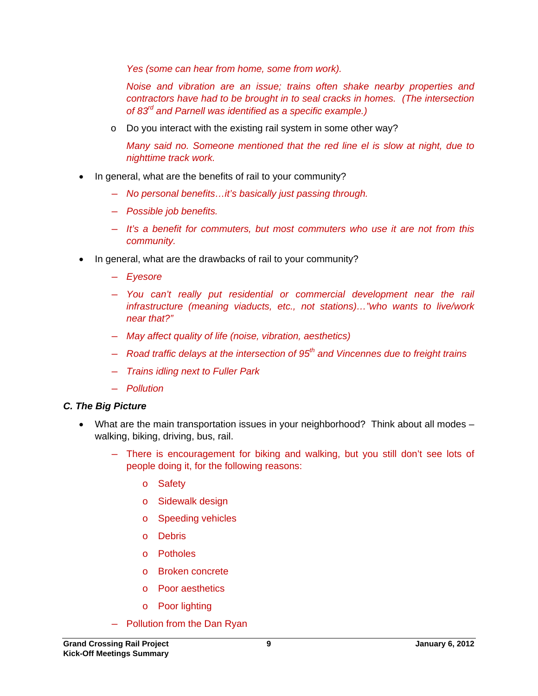*Yes (some can hear from home, some from work).* 

*Noise and vibration are an issue; trains often shake nearby properties and contractors have had to be brought in to seal cracks in homes. (The intersection of 83rd and Parnell was identified as a specific example.)* 

o Do you interact with the existing rail system in some other way?

*Many said no. Someone mentioned that the red line el is slow at night, due to nighttime track work.* 

- In general, what are the benefits of rail to your community?
	- ― *No personal benefits…it's basically just passing through.*
	- ― *Possible job benefits.*
	- ― *It's a benefit for commuters, but most commuters who use it are not from this community.*
- In general, what are the drawbacks of rail to your community?
	- ― *Eyesore*
	- ― *You can't really put residential or commercial development near the rail infrastructure (meaning viaducts, etc., not stations)…"who wants to live/work near that?"*
	- ― *May affect quality of life (noise, vibration, aesthetics)*
	- ― *Road traffic delays at the intersection of 95th and Vincennes due to freight trains*
	- ― *Trains idling next to Fuller Park*
	- ― *Pollution*

#### *C. The Big Picture*

- What are the main transportation issues in your neighborhood? Think about all modes walking, biking, driving, bus, rail.
	- ― There is encouragement for biking and walking, but you still don't see lots of people doing it, for the following reasons:
		- o Safety
		- o Sidewalk design
		- o Speeding vehicles
		- o Debris
		- o Potholes
		- o Broken concrete
		- o Poor aesthetics
		- o Poor lighting
	- ― Pollution from the Dan Ryan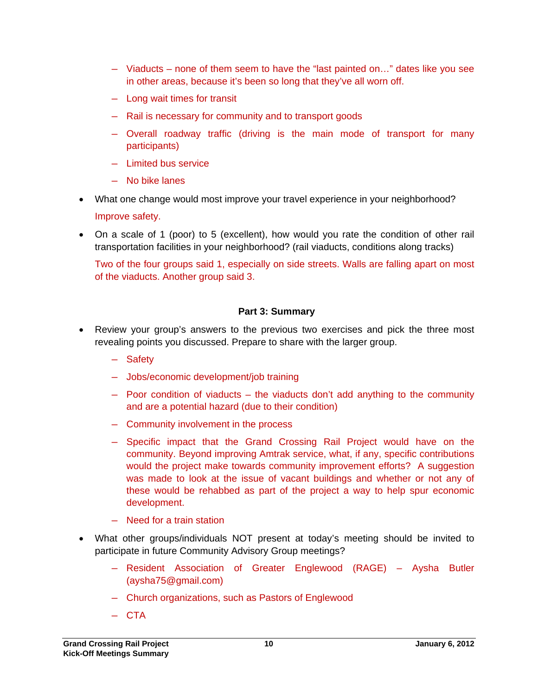- ― Viaducts none of them seem to have the "last painted on…" dates like you see in other areas, because it's been so long that they've all worn off.
- ― Long wait times for transit
- ― Rail is necessary for community and to transport goods
- ― Overall roadway traffic (driving is the main mode of transport for many participants)
- ― Limited bus service
- ― No bike lanes
- What one change would most improve your travel experience in your neighborhood?

Improve safety.

• On a scale of 1 (poor) to 5 (excellent), how would you rate the condition of other rail transportation facilities in your neighborhood? (rail viaducts, conditions along tracks)

Two of the four groups said 1, especially on side streets. Walls are falling apart on most of the viaducts. Another group said 3.

#### **Part 3: Summary**

- Review your group's answers to the previous two exercises and pick the three most revealing points you discussed. Prepare to share with the larger group.
	- ― Safety
	- ― Jobs/economic development/job training
	- ― Poor condition of viaducts the viaducts don't add anything to the community and are a potential hazard (due to their condition)
	- ― Community involvement in the process
	- ― Specific impact that the Grand Crossing Rail Project would have on the community. Beyond improving Amtrak service, what, if any, specific contributions would the project make towards community improvement efforts? A suggestion was made to look at the issue of vacant buildings and whether or not any of these would be rehabbed as part of the project a way to help spur economic development.
	- ― Need for a train station
- What other groups/individuals NOT present at today's meeting should be invited to participate in future Community Advisory Group meetings?
	- ― Resident Association of Greater Englewood (RAGE) Aysha Butler (aysha75@gmail.com)
	- ― Church organizations, such as Pastors of Englewood
	- ― CTA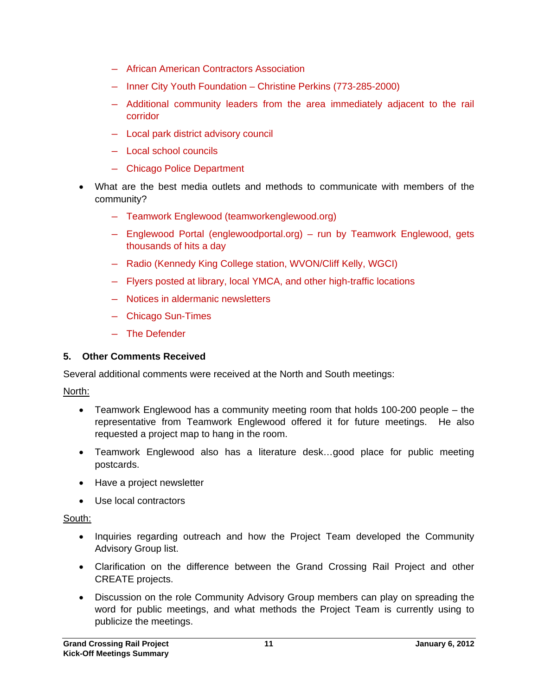- ― African American Contractors Association
- ― Inner City Youth Foundation Christine Perkins (773-285-2000)
- ― Additional community leaders from the area immediately adjacent to the rail corridor
- ― Local park district advisory council
- ― Local school councils
- ― Chicago Police Department
- What are the best media outlets and methods to communicate with members of the community?
	- ― Teamwork Englewood (teamworkenglewood.org)
	- ― Englewood Portal (englewoodportal.org) run by Teamwork Englewood, gets thousands of hits a day
	- ― Radio (Kennedy King College station, WVON/Cliff Kelly, WGCI)
	- ― Flyers posted at library, local YMCA, and other high-traffic locations
	- ― Notices in aldermanic newsletters
	- ― Chicago Sun-Times
	- ― The Defender

#### **5. Other Comments Received**

Several additional comments were received at the North and South meetings:

#### North:

- Teamwork Englewood has a community meeting room that holds 100-200 people the representative from Teamwork Englewood offered it for future meetings. He also requested a project map to hang in the room.
- Teamwork Englewood also has a literature desk…good place for public meeting postcards.
- Have a project newsletter
- Use local contractors

#### South:

- Inquiries regarding outreach and how the Project Team developed the Community Advisory Group list.
- Clarification on the difference between the Grand Crossing Rail Project and other CREATE projects.
- Discussion on the role Community Advisory Group members can play on spreading the word for public meetings, and what methods the Project Team is currently using to publicize the meetings.